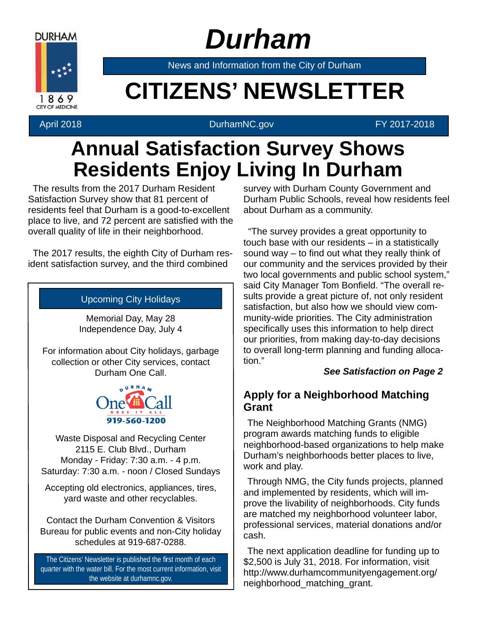

## *Durham*

News and Information from the City of Durham

# **Example 20 CITIZENS' NEWSLETTER**

### April 2018 **DurhamNC.gov FY 2017-2018**

### **Annual Satisfaction Survey Shows Residents Enjoy Living In Durham**

The results from the 2017 Durham Resident Satisfaction Survey show that 81 percent of residents feel that Durham is a good-to-excellent place to live, and 72 percent are satisfied with the overall quality of life in their neighborhood.

The 2017 results, the eighth City of Durham resident satisfaction survey, and the third combined

### Upcoming City Holidays

Memorial Day, May 28 Independence Day, July 4

For information about City holidays, garbage collection or other City services, contact Durham One Call.



Waste Disposal and Recycling Center 2115 E. Club Blvd., Durham Monday - Friday: 7:30 a.m. - 4 p.m. Saturday: 7:30 a.m. - noon / Closed Sundays

Accepting old electronics, appliances, tires, yard waste and other recyclables.

Contact the Durham Convention & Visitors Bureau for public events and non-City holiday schedules at 919-687-0288.

The Citizens' Newsletter is published the first month of each quarter with the water bill. For the most current information, visit the website at durhamnc.gov.

survey with Durham County Government and Durham Public Schools, reveal how residents feel about Durham as a community.

"The survey provides a great opportunity to touch base with our residents – in a statistically sound way  $-$  to find out what they really think of our community and the services provided by their two local governments and public school system," said City Manager Tom Bonfield. "The overall results provide a great picture of, not only resident satisfaction, but also how we should view community-wide priorities. The City administration specifically uses this information to help direct our priorities, from making day-to-day decisions to overall long-term planning and funding allocation."

### *See Satisfaction on Page 2*

### **Apply for a Neighborhood Matching Grant**

The Neighborhood Matching Grants (NMG) program awards matching funds to eligible neighborhood-based organizations to help make Durham's neighborhoods better places to live, work and play.

Through NMG, the City funds projects, planned and implemented by residents, which will improve the livability of neighborhoods. City funds are matched my neighborhood volunteer labor, professional services, material donations and/or cash.

The next application deadline for funding up to \$2,500 is July 31, 2018. For information, visit http://www.durhamcommunityengagement.org/ neighborhood\_matching\_grant.